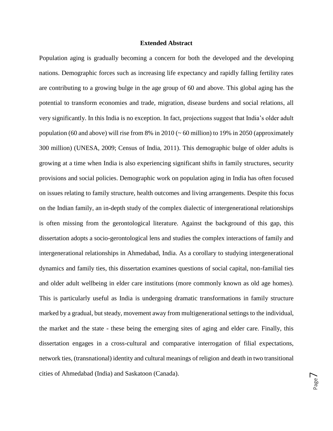## **Extended Abstract**

Population aging is gradually becoming a concern for both the developed and the developing nations. Demographic forces such as increasing life expectancy and rapidly falling fertility rates are contributing to a growing bulge in the age group of 60 and above. This global aging has the potential to transform economies and trade, migration, disease burdens and social relations, all very significantly. In this India is no exception. In fact, projections suggest that India's older adult population (60 and above) will rise from 8% in 2010 ( $\sim$  60 million) to 19% in 2050 (approximately 300 million) (UNESA, 2009; Census of India, 2011). This demographic bulge of older adults is growing at a time when India is also experiencing significant shifts in family structures, security provisions and social policies. Demographic work on population aging in India has often focused on issues relating to family structure, health outcomes and living arrangements. Despite this focus on the Indian family, an in-depth study of the complex dialectic of intergenerational relationships is often missing from the gerontological literature. Against the background of this gap, this dissertation adopts a socio-gerontological lens and studies the complex interactions of family and intergenerational relationships in Ahmedabad, India. As a corollary to studying intergenerational dynamics and family ties, this dissertation examines questions of social capital, non-familial ties and older adult wellbeing in elder care institutions (more commonly known as old age homes). This is particularly useful as India is undergoing dramatic transformations in family structure marked by a gradual, but steady, movement away from multigenerational settings to the individual, the market and the state - these being the emerging sites of aging and elder care. Finally, this dissertation engages in a cross-cultural and comparative interrogation of filial expectations, network ties, (transnational) identity and cultural meanings of religion and death in two transitional cities of Ahmedabad (India) and Saskatoon (Canada).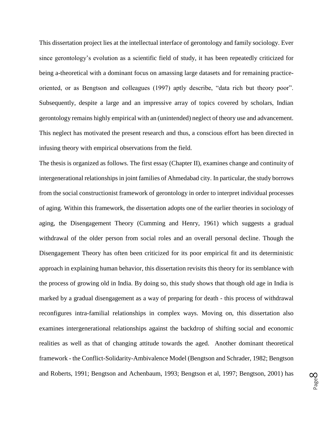This dissertation project lies at the intellectual interface of gerontology and family sociology. Ever since gerontology's evolution as a scientific field of study, it has been repeatedly criticized for being a-theoretical with a dominant focus on amassing large datasets and for remaining practiceoriented, or as Bengtson and colleagues (1997) aptly describe, "data rich but theory poor". Subsequently, despite a large and an impressive array of topics covered by scholars, Indian gerontology remains highly empirical with an (unintended) neglect of theory use and advancement. This neglect has motivated the present research and thus, a conscious effort has been directed in infusing theory with empirical observations from the field.

The thesis is organized as follows. The first essay (Chapter II), examines change and continuity of intergenerational relationships in joint families of Ahmedabad city. In particular, the study borrows from the social constructionist framework of gerontology in order to interpret individual processes of aging. Within this framework, the dissertation adopts one of the earlier theories in sociology of aging, the Disengagement Theory (Cumming and Henry, 1961) which suggests a gradual withdrawal of the older person from social roles and an overall personal decline. Though the Disengagement Theory has often been criticized for its poor empirical fit and its deterministic approach in explaining human behavior, this dissertation revisits this theory for its semblance with the process of growing old in India. By doing so, this study shows that though old age in India is marked by a gradual disengagement as a way of preparing for death - this process of withdrawal reconfigures intra-familial relationships in complex ways. Moving on, this dissertation also examines intergenerational relationships against the backdrop of shifting social and economic realities as well as that of changing attitude towards the aged. Another dominant theoretical framework - the Conflict-Solidarity-Ambivalence Model (Bengtson and Schrader, 1982; Bengtson and Roberts, 1991; Bengtson and Achenbaum, 1993; Bengtson et al, 1997; Bengtson, 2001) has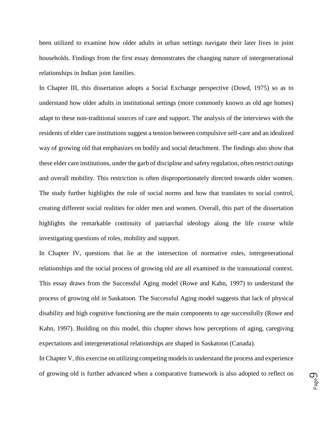been utilized to examine how older adults in urban settings navigate their later lives in joint households. Findings from the first essay demonstrates the changing nature of intergenerational relationships in Indian joint families.

In Chapter III, this dissertation adopts a Social Exchange perspective (Dowd, 1975) so as to understand how older adults in institutional settings (more commonly known as old age homes) adapt to these non-traditional sources of care and support. The analysis of the interviews with the residents of elder care institutions suggest a tension between compulsive self-care and an idealized way of growing old that emphasizes on bodily and social detachment. The findings also show that these elder care institutions, under the garb of discipline and safety regulation, often restrict outings and overall mobility. This restriction is often disproportionately directed towards older women. The study further highlights the role of social norms and how that translates to social control, creating different social realities for older men and women. Overall, this part of the dissertation highlights the remarkable continuity of patriarchal ideology along the life course while investigating questions of roles, mobility and support.

In Chapter IV, questions that lie at the intersection of normative roles, intergenerational relationships and the social process of growing old are all examined in the transnational context. This essay draws from the Successful Aging model (Rowe and Kahn, 1997) to understand the process of growing old in Saskatoon. The Successful Aging model suggests that lack of physical disability and high cognitive functioning are the main components to age successfully (Rowe and Kahn, 1997). Building on this model, this chapter shows how perceptions of aging, caregiving expectations and intergenerational relationships are shaped in Saskatoon (Canada).

In Chapter V, this exercise on utilizing competing models to understand the process and experience of growing old is further advanced when a comparative framework is also adopted to reflect on

Page  $\mathcal O$